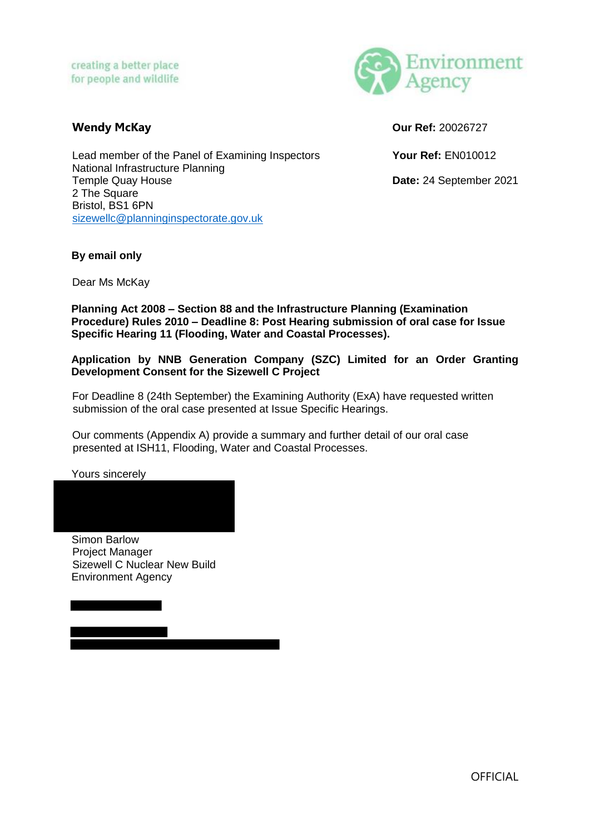

**Wendy McKay Our Ref:** 20026727

Lead member of the Panel of Examining Inspectors **Your Ref:** EN010012 National Infrastructure Planning Temple Quay House **Date:** 24 September 2021 2 The Square Bristol, BS1 6PN [sizewellc@planninginspectorate.gov.uk](mailto:sizewellc@planninginspectorate.gov.uk)

## **By email only**

Dear Ms McKay

**Planning Act 2008 – Section 88 and the Infrastructure Planning (Examination Procedure) Rules 2010 – Deadline 8: Post Hearing submission of oral case for Issue Specific Hearing 11 (Flooding, Water and Coastal Processes).** 

**Application by NNB Generation Company (SZC) Limited for an Order Granting Development Consent for the Sizewell C Project** 

For Deadline 8 (24th September) the Examining Authority (ExA) have requested written submission of the oral case presented at Issue Specific Hearings.

Our comments (Appendix A) provide a summary and further detail of our oral case presented at ISH11, Flooding, Water and Coastal Processes.

Yours sincerely

Simon Barlow Project Manager Sizewell C Nuclear New Build Environment Agency

**OFFICIAL**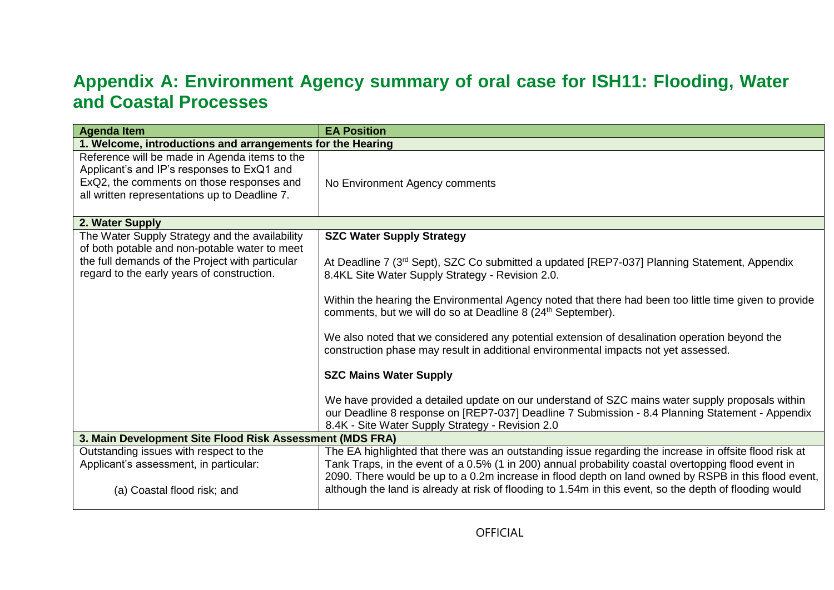## **Appendix A: Environment Agency summary of oral case for ISH11: Flooding, Water and Coastal Processes**

| <b>Agenda Item</b>                                                                                                                                                                               | <b>EA Position</b>                                                                                                                                                                                                                                                                                                                                                                                                                                                                                                                                                                                                                                                                                                                                                                                                                                                       |  |  |
|--------------------------------------------------------------------------------------------------------------------------------------------------------------------------------------------------|--------------------------------------------------------------------------------------------------------------------------------------------------------------------------------------------------------------------------------------------------------------------------------------------------------------------------------------------------------------------------------------------------------------------------------------------------------------------------------------------------------------------------------------------------------------------------------------------------------------------------------------------------------------------------------------------------------------------------------------------------------------------------------------------------------------------------------------------------------------------------|--|--|
|                                                                                                                                                                                                  | 1. Welcome, introductions and arrangements for the Hearing                                                                                                                                                                                                                                                                                                                                                                                                                                                                                                                                                                                                                                                                                                                                                                                                               |  |  |
| Reference will be made in Agenda items to the<br>Applicant's and IP's responses to ExQ1 and<br>ExQ2, the comments on those responses and<br>all written representations up to Deadline 7.        | No Environment Agency comments                                                                                                                                                                                                                                                                                                                                                                                                                                                                                                                                                                                                                                                                                                                                                                                                                                           |  |  |
| 2. Water Supply                                                                                                                                                                                  |                                                                                                                                                                                                                                                                                                                                                                                                                                                                                                                                                                                                                                                                                                                                                                                                                                                                          |  |  |
| The Water Supply Strategy and the availability<br>of both potable and non-potable water to meet<br>the full demands of the Project with particular<br>regard to the early years of construction. | <b>SZC Water Supply Strategy</b><br>At Deadline 7 (3 <sup>rd</sup> Sept), SZC Co submitted a updated [REP7-037] Planning Statement, Appendix<br>8.4KL Site Water Supply Strategy - Revision 2.0.<br>Within the hearing the Environmental Agency noted that there had been too little time given to provide<br>comments, but we will do so at Deadline 8 (24 <sup>th</sup> September).<br>We also noted that we considered any potential extension of desalination operation beyond the<br>construction phase may result in additional environmental impacts not yet assessed.<br><b>SZC Mains Water Supply</b><br>We have provided a detailed update on our understand of SZC mains water supply proposals within<br>our Deadline 8 response on [REP7-037] Deadline 7 Submission - 8.4 Planning Statement - Appendix<br>8.4K - Site Water Supply Strategy - Revision 2.0 |  |  |
| 3. Main Development Site Flood Risk Assessment (MDS FRA)                                                                                                                                         |                                                                                                                                                                                                                                                                                                                                                                                                                                                                                                                                                                                                                                                                                                                                                                                                                                                                          |  |  |
| Outstanding issues with respect to the<br>Applicant's assessment, in particular:<br>(a) Coastal flood risk; and                                                                                  | The EA highlighted that there was an outstanding issue regarding the increase in offsite flood risk at<br>Tank Traps, in the event of a 0.5% (1 in 200) annual probability coastal overtopping flood event in<br>2090. There would be up to a 0.2m increase in flood depth on land owned by RSPB in this flood event,<br>although the land is already at risk of flooding to 1.54m in this event, so the depth of flooding would                                                                                                                                                                                                                                                                                                                                                                                                                                         |  |  |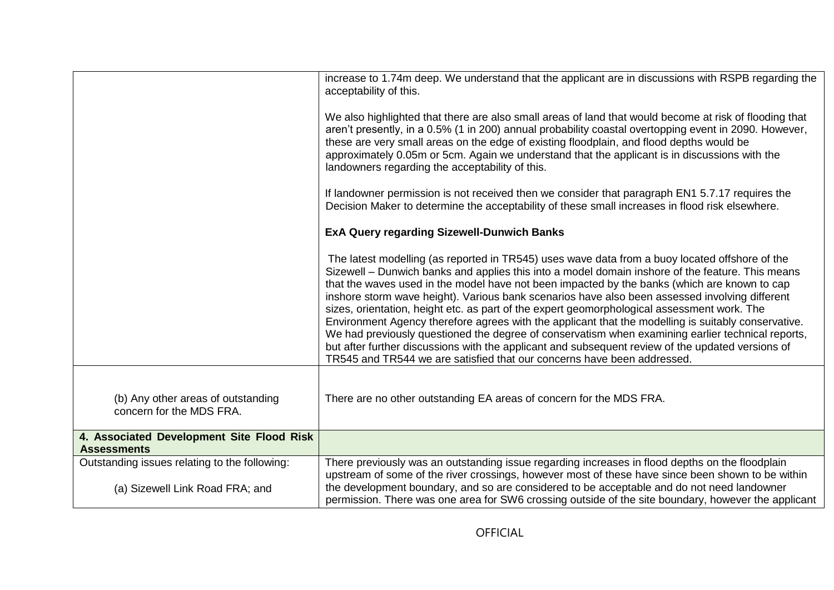| increase to 1.74m deep. We understand that the applicant are in discussions with RSPB regarding the<br>acceptability of this.                                                                                                                                                                                                                                                                                                                                                                                                                                                                                                                                                                                                                                                                                                                                                                   |
|-------------------------------------------------------------------------------------------------------------------------------------------------------------------------------------------------------------------------------------------------------------------------------------------------------------------------------------------------------------------------------------------------------------------------------------------------------------------------------------------------------------------------------------------------------------------------------------------------------------------------------------------------------------------------------------------------------------------------------------------------------------------------------------------------------------------------------------------------------------------------------------------------|
| We also highlighted that there are also small areas of land that would become at risk of flooding that<br>aren't presently, in a 0.5% (1 in 200) annual probability coastal overtopping event in 2090. However,<br>these are very small areas on the edge of existing floodplain, and flood depths would be<br>approximately 0.05m or 5cm. Again we understand that the applicant is in discussions with the<br>landowners regarding the acceptability of this.                                                                                                                                                                                                                                                                                                                                                                                                                                 |
| If landowner permission is not received then we consider that paragraph EN1 5.7.17 requires the<br>Decision Maker to determine the acceptability of these small increases in flood risk elsewhere.                                                                                                                                                                                                                                                                                                                                                                                                                                                                                                                                                                                                                                                                                              |
| <b>ExA Query regarding Sizewell-Dunwich Banks</b>                                                                                                                                                                                                                                                                                                                                                                                                                                                                                                                                                                                                                                                                                                                                                                                                                                               |
| The latest modelling (as reported in TR545) uses wave data from a buoy located offshore of the<br>Sizewell – Dunwich banks and applies this into a model domain inshore of the feature. This means<br>that the waves used in the model have not been impacted by the banks (which are known to cap<br>inshore storm wave height). Various bank scenarios have also been assessed involving different<br>sizes, orientation, height etc. as part of the expert geomorphological assessment work. The<br>Environment Agency therefore agrees with the applicant that the modelling is suitably conservative.<br>We had previously questioned the degree of conservatism when examining earlier technical reports,<br>but after further discussions with the applicant and subsequent review of the updated versions of<br>TR545 and TR544 we are satisfied that our concerns have been addressed. |
| There are no other outstanding EA areas of concern for the MDS FRA.                                                                                                                                                                                                                                                                                                                                                                                                                                                                                                                                                                                                                                                                                                                                                                                                                             |
|                                                                                                                                                                                                                                                                                                                                                                                                                                                                                                                                                                                                                                                                                                                                                                                                                                                                                                 |
| There previously was an outstanding issue regarding increases in flood depths on the floodplain<br>upstream of some of the river crossings, however most of these have since been shown to be within                                                                                                                                                                                                                                                                                                                                                                                                                                                                                                                                                                                                                                                                                            |
| the development boundary, and so are considered to be acceptable and do not need landowner<br>permission. There was one area for SW6 crossing outside of the site boundary, however the applicant                                                                                                                                                                                                                                                                                                                                                                                                                                                                                                                                                                                                                                                                                               |
|                                                                                                                                                                                                                                                                                                                                                                                                                                                                                                                                                                                                                                                                                                                                                                                                                                                                                                 |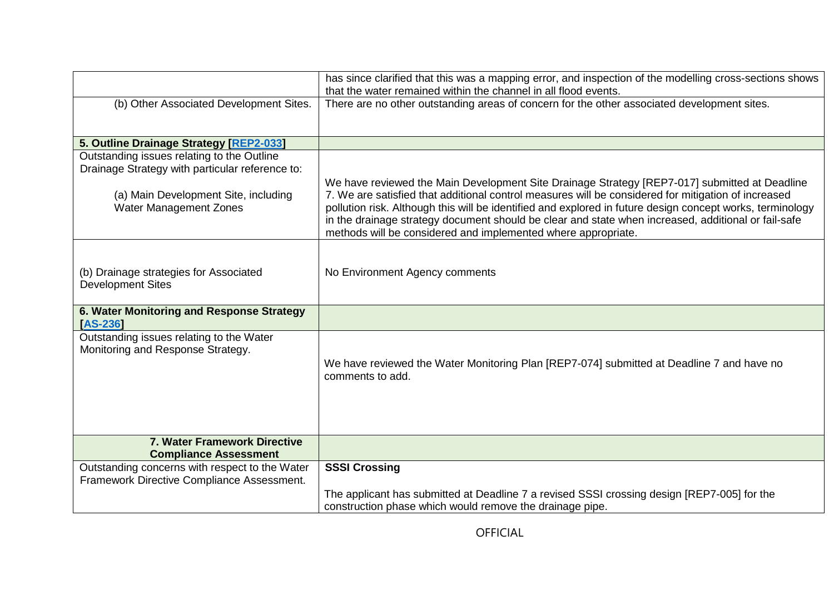|                                                                                               | has since clarified that this was a mapping error, and inspection of the modelling cross-sections shows<br>that the water remained within the channel in all flood events.                                                                                                                                                                                                                                                                                                                |
|-----------------------------------------------------------------------------------------------|-------------------------------------------------------------------------------------------------------------------------------------------------------------------------------------------------------------------------------------------------------------------------------------------------------------------------------------------------------------------------------------------------------------------------------------------------------------------------------------------|
| (b) Other Associated Development Sites.                                                       | There are no other outstanding areas of concern for the other associated development sites.                                                                                                                                                                                                                                                                                                                                                                                               |
| 5. Outline Drainage Strategy [REP2-033]                                                       |                                                                                                                                                                                                                                                                                                                                                                                                                                                                                           |
| Outstanding issues relating to the Outline<br>Drainage Strategy with particular reference to: |                                                                                                                                                                                                                                                                                                                                                                                                                                                                                           |
| (a) Main Development Site, including<br>Water Management Zones                                | We have reviewed the Main Development Site Drainage Strategy [REP7-017] submitted at Deadline<br>7. We are satisfied that additional control measures will be considered for mitigation of increased<br>pollution risk. Although this will be identified and explored in future design concept works, terminology<br>in the drainage strategy document should be clear and state when increased, additional or fail-safe<br>methods will be considered and implemented where appropriate. |
| (b) Drainage strategies for Associated<br><b>Development Sites</b>                            | No Environment Agency comments                                                                                                                                                                                                                                                                                                                                                                                                                                                            |
| 6. Water Monitoring and Response Strategy<br><b>AS-2361</b>                                   |                                                                                                                                                                                                                                                                                                                                                                                                                                                                                           |
| Outstanding issues relating to the Water<br>Monitoring and Response Strategy.                 | We have reviewed the Water Monitoring Plan [REP7-074] submitted at Deadline 7 and have no<br>comments to add.                                                                                                                                                                                                                                                                                                                                                                             |
| 7. Water Framework Directive<br><b>Compliance Assessment</b>                                  |                                                                                                                                                                                                                                                                                                                                                                                                                                                                                           |
| Outstanding concerns with respect to the Water<br>Framework Directive Compliance Assessment.  | <b>SSSI Crossing</b><br>The applicant has submitted at Deadline 7 a revised SSSI crossing design [REP7-005] for the<br>construction phase which would remove the drainage pipe.                                                                                                                                                                                                                                                                                                           |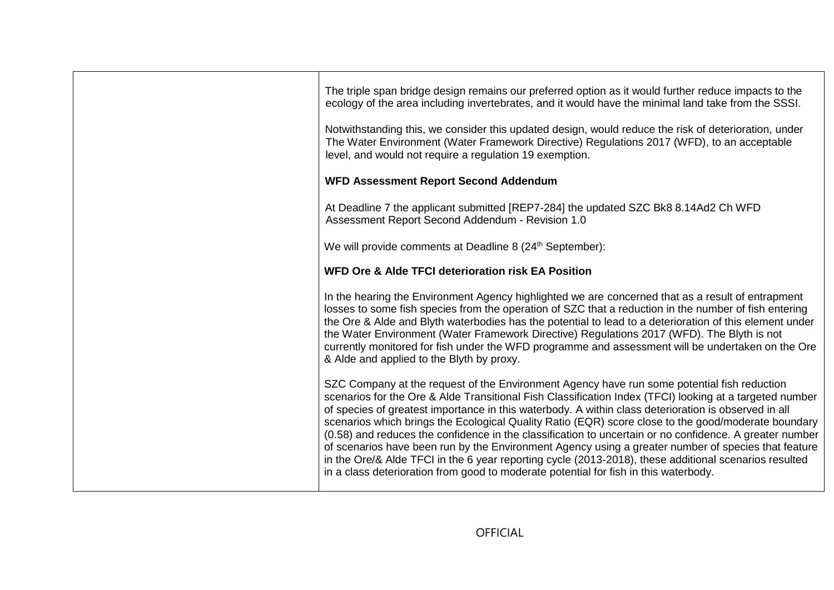| The triple span bridge design remains our preferred option as it would further reduce impacts to the<br>ecology of the area including invertebrates, and it would have the minimal land take from the SSSI.<br>Notwithstanding this, we consider this updated design, would reduce the risk of deterioration, under<br>The Water Environment (Water Framework Directive) Regulations 2017 (WFD), to an acceptable<br>level, and would not require a regulation 19 exemption.                                                                                                                                                                                                                                                                                                                                                             |
|------------------------------------------------------------------------------------------------------------------------------------------------------------------------------------------------------------------------------------------------------------------------------------------------------------------------------------------------------------------------------------------------------------------------------------------------------------------------------------------------------------------------------------------------------------------------------------------------------------------------------------------------------------------------------------------------------------------------------------------------------------------------------------------------------------------------------------------|
| <b>WFD Assessment Report Second Addendum</b>                                                                                                                                                                                                                                                                                                                                                                                                                                                                                                                                                                                                                                                                                                                                                                                             |
| At Deadline 7 the applicant submitted [REP7-284] the updated SZC Bk8 8.14Ad2 Ch WFD<br>Assessment Report Second Addendum - Revision 1.0                                                                                                                                                                                                                                                                                                                                                                                                                                                                                                                                                                                                                                                                                                  |
| We will provide comments at Deadline 8 (24 <sup>th</sup> September):                                                                                                                                                                                                                                                                                                                                                                                                                                                                                                                                                                                                                                                                                                                                                                     |
| WFD Ore & Alde TFCI deterioration risk EA Position                                                                                                                                                                                                                                                                                                                                                                                                                                                                                                                                                                                                                                                                                                                                                                                       |
| In the hearing the Environment Agency highlighted we are concerned that as a result of entrapment<br>losses to some fish species from the operation of SZC that a reduction in the number of fish entering<br>the Ore & Alde and Blyth waterbodies has the potential to lead to a deterioration of this element under<br>the Water Environment (Water Framework Directive) Regulations 2017 (WFD). The Blyth is not<br>currently monitored for fish under the WFD programme and assessment will be undertaken on the Ore<br>& Alde and applied to the Blyth by proxy.                                                                                                                                                                                                                                                                    |
| SZC Company at the request of the Environment Agency have run some potential fish reduction<br>scenarios for the Ore & Alde Transitional Fish Classification Index (TFCI) looking at a targeted number<br>of species of greatest importance in this waterbody. A within class deterioration is observed in all<br>scenarios which brings the Ecological Quality Ratio (EQR) score close to the good/moderate boundary<br>(0.58) and reduces the confidence in the classification to uncertain or no confidence. A greater number<br>of scenarios have been run by the Environment Agency using a greater number of species that feature<br>in the Ore/& Alde TFCI in the 6 year reporting cycle (2013-2018), these additional scenarios resulted<br>in a class deterioration from good to moderate potential for fish in this waterbody. |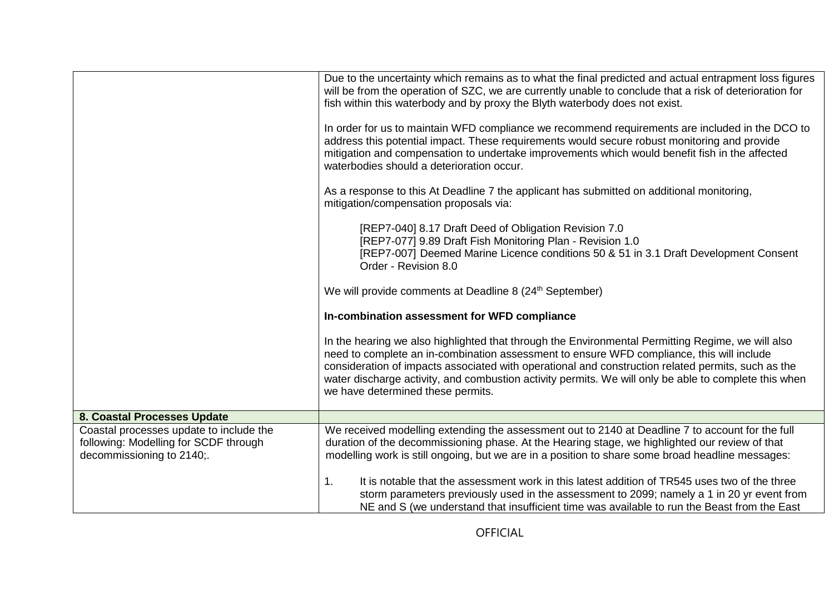|                                                                                                               | Due to the uncertainty which remains as to what the final predicted and actual entrapment loss figures<br>will be from the operation of SZC, we are currently unable to conclude that a risk of deterioration for<br>fish within this waterbody and by proxy the Blyth waterbody does not exist.                                                                                                                                                   |
|---------------------------------------------------------------------------------------------------------------|----------------------------------------------------------------------------------------------------------------------------------------------------------------------------------------------------------------------------------------------------------------------------------------------------------------------------------------------------------------------------------------------------------------------------------------------------|
|                                                                                                               | In order for us to maintain WFD compliance we recommend requirements are included in the DCO to<br>address this potential impact. These requirements would secure robust monitoring and provide<br>mitigation and compensation to undertake improvements which would benefit fish in the affected<br>waterbodies should a deterioration occur.                                                                                                     |
|                                                                                                               | As a response to this At Deadline 7 the applicant has submitted on additional monitoring,<br>mitigation/compensation proposals via:                                                                                                                                                                                                                                                                                                                |
|                                                                                                               | [REP7-040] 8.17 Draft Deed of Obligation Revision 7.0<br>[REP7-077] 9.89 Draft Fish Monitoring Plan - Revision 1.0<br>[REP7-007] Deemed Marine Licence conditions 50 & 51 in 3.1 Draft Development Consent<br>Order - Revision 8.0                                                                                                                                                                                                                 |
|                                                                                                               | We will provide comments at Deadline 8 (24 <sup>th</sup> September)                                                                                                                                                                                                                                                                                                                                                                                |
|                                                                                                               | In-combination assessment for WFD compliance                                                                                                                                                                                                                                                                                                                                                                                                       |
|                                                                                                               | In the hearing we also highlighted that through the Environmental Permitting Regime, we will also<br>need to complete an in-combination assessment to ensure WFD compliance, this will include<br>consideration of impacts associated with operational and construction related permits, such as the<br>water discharge activity, and combustion activity permits. We will only be able to complete this when<br>we have determined these permits. |
| 8. Coastal Processes Update                                                                                   |                                                                                                                                                                                                                                                                                                                                                                                                                                                    |
| Coastal processes update to include the<br>following: Modelling for SCDF through<br>decommissioning to 2140;. | We received modelling extending the assessment out to 2140 at Deadline 7 to account for the full<br>duration of the decommissioning phase. At the Hearing stage, we highlighted our review of that<br>modelling work is still ongoing, but we are in a position to share some broad headline messages:                                                                                                                                             |
|                                                                                                               | 1.<br>It is notable that the assessment work in this latest addition of TR545 uses two of the three<br>storm parameters previously used in the assessment to 2099; namely a 1 in 20 yr event from<br>NE and S (we understand that insufficient time was available to run the Beast from the East                                                                                                                                                   |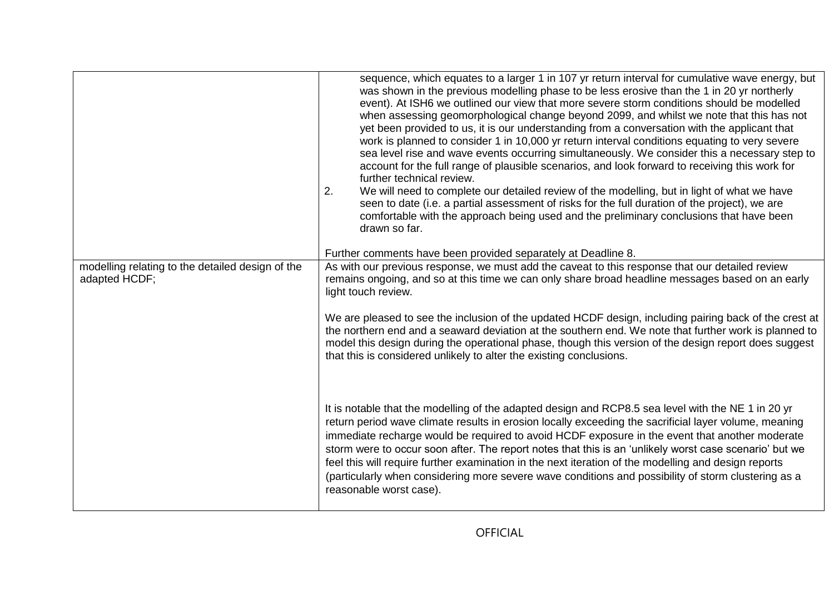|                                                                   | sequence, which equates to a larger 1 in 107 yr return interval for cumulative wave energy, but<br>was shown in the previous modelling phase to be less erosive than the 1 in 20 yr northerly<br>event). At ISH6 we outlined our view that more severe storm conditions should be modelled<br>when assessing geomorphological change beyond 2099, and whilst we note that this has not<br>yet been provided to us, it is our understanding from a conversation with the applicant that<br>work is planned to consider 1 in 10,000 yr return interval conditions equating to very severe<br>sea level rise and wave events occurring simultaneously. We consider this a necessary step to<br>account for the full range of plausible scenarios, and look forward to receiving this work for<br>further technical review.<br>We will need to complete our detailed review of the modelling, but in light of what we have<br>2.<br>seen to date (i.e. a partial assessment of risks for the full duration of the project), we are<br>comfortable with the approach being used and the preliminary conclusions that have been<br>drawn so far. |
|-------------------------------------------------------------------|--------------------------------------------------------------------------------------------------------------------------------------------------------------------------------------------------------------------------------------------------------------------------------------------------------------------------------------------------------------------------------------------------------------------------------------------------------------------------------------------------------------------------------------------------------------------------------------------------------------------------------------------------------------------------------------------------------------------------------------------------------------------------------------------------------------------------------------------------------------------------------------------------------------------------------------------------------------------------------------------------------------------------------------------------------------------------------------------------------------------------------------------|
|                                                                   | Further comments have been provided separately at Deadline 8.                                                                                                                                                                                                                                                                                                                                                                                                                                                                                                                                                                                                                                                                                                                                                                                                                                                                                                                                                                                                                                                                              |
| modelling relating to the detailed design of the<br>adapted HCDF; | As with our previous response, we must add the caveat to this response that our detailed review<br>remains ongoing, and so at this time we can only share broad headline messages based on an early<br>light touch review.<br>We are pleased to see the inclusion of the updated HCDF design, including pairing back of the crest at<br>the northern end and a seaward deviation at the southern end. We note that further work is planned to                                                                                                                                                                                                                                                                                                                                                                                                                                                                                                                                                                                                                                                                                              |
|                                                                   | model this design during the operational phase, though this version of the design report does suggest<br>that this is considered unlikely to alter the existing conclusions.                                                                                                                                                                                                                                                                                                                                                                                                                                                                                                                                                                                                                                                                                                                                                                                                                                                                                                                                                               |
|                                                                   | It is notable that the modelling of the adapted design and RCP8.5 sea level with the NE 1 in 20 yr<br>return period wave climate results in erosion locally exceeding the sacrificial layer volume, meaning<br>immediate recharge would be required to avoid HCDF exposure in the event that another moderate<br>storm were to occur soon after. The report notes that this is an 'unlikely worst case scenario' but we<br>feel this will require further examination in the next iteration of the modelling and design reports<br>(particularly when considering more severe wave conditions and possibility of storm clustering as a<br>reasonable worst case).                                                                                                                                                                                                                                                                                                                                                                                                                                                                          |